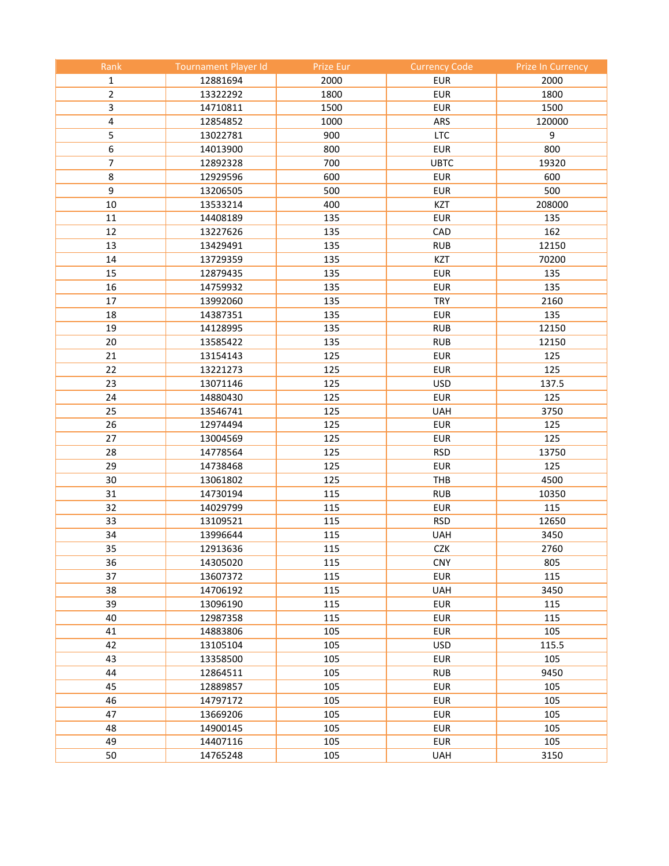| Rank           | <b>Tournament Player Id</b> | Prize Eur  | <b>Currency Code</b>     | <b>Prize In Currency</b> |
|----------------|-----------------------------|------------|--------------------------|--------------------------|
| 1              | 12881694                    | 2000       | <b>EUR</b>               | 2000                     |
| $\overline{2}$ | 13322292                    | 1800       | <b>EUR</b>               | 1800                     |
| 3              | 14710811                    | 1500       | <b>EUR</b>               | 1500                     |
| 4              | 12854852                    | 1000       | ARS                      | 120000                   |
| 5              | 13022781                    | 900        | <b>LTC</b>               | 9                        |
| 6              | 14013900                    | 800        | <b>EUR</b>               | 800                      |
| $\overline{7}$ | 12892328                    | 700        | <b>UBTC</b>              | 19320                    |
| 8              | 12929596                    | 600        | <b>EUR</b>               | 600                      |
| 9              | 13206505                    | 500        | <b>EUR</b>               | 500                      |
| 10             | 13533214                    | 400        | KZT                      | 208000                   |
| 11             | 14408189                    | 135        | <b>EUR</b>               | 135                      |
| 12             | 13227626                    | 135        | CAD                      | 162                      |
| 13             | 13429491                    | 135        | <b>RUB</b>               | 12150                    |
| 14             | 13729359                    | 135        | KZT                      | 70200                    |
| 15             | 12879435                    | 135        | <b>EUR</b>               | 135                      |
| 16             | 14759932                    | 135        | <b>EUR</b>               | 135                      |
| 17             | 13992060                    | 135        | <b>TRY</b>               | 2160                     |
| 18             | 14387351                    | 135        | <b>EUR</b>               | 135                      |
| 19             | 14128995                    | 135        | <b>RUB</b>               | 12150                    |
| 20             | 13585422                    | 135        | <b>RUB</b>               | 12150                    |
| 21             | 13154143                    | 125        | <b>EUR</b>               | 125                      |
| 22             | 13221273                    | 125        | <b>EUR</b>               | 125                      |
| 23             | 13071146                    | 125        | <b>USD</b>               | 137.5                    |
| 24             | 14880430                    | 125        | <b>EUR</b>               | 125                      |
| 25             | 13546741                    | 125        | <b>UAH</b>               | 3750                     |
| 26             | 12974494                    | 125        | <b>EUR</b>               | 125                      |
| 27             | 13004569                    | 125        | <b>EUR</b>               | 125                      |
| 28             | 14778564                    | 125        | <b>RSD</b>               | 13750                    |
| 29             | 14738468                    | 125        | <b>EUR</b>               | 125                      |
| 30             | 13061802                    | 125        | THB                      | 4500                     |
| 31             | 14730194                    | 115        | <b>RUB</b>               | 10350                    |
| 32             | 14029799                    | 115        | <b>EUR</b>               | 115                      |
| 33             | 13109521                    | 115        | <b>RSD</b>               | 12650                    |
| 34             | 13996644                    | 115        | <b>UAH</b>               | 3450                     |
| 35             | 12913636                    | 115        | CZK                      | 2760                     |
| 36             |                             |            |                          |                          |
| 37             | 14305020<br>13607372        | 115<br>115 | <b>CNY</b><br><b>EUR</b> | 805<br>115               |
|                |                             |            | <b>UAH</b>               |                          |
| 38<br>39       | 14706192<br>13096190        | 115<br>115 | <b>EUR</b>               | 3450<br>115              |
| 40             | 12987358                    | 115        | <b>EUR</b>               | 115                      |
| 41             |                             | 105        | <b>EUR</b>               | 105                      |
|                | 14883806                    |            |                          |                          |
| 42             | 13105104                    | 105<br>105 | <b>USD</b>               | 115.5                    |
| 43             | 13358500                    |            | <b>EUR</b>               | 105                      |
| 44             | 12864511                    | 105        | <b>RUB</b>               | 9450                     |
| 45             | 12889857                    | 105        | <b>EUR</b>               | 105                      |
| 46             | 14797172                    | 105        | <b>EUR</b>               | 105                      |
| 47             | 13669206                    | 105        | <b>EUR</b>               | 105                      |
| 48             | 14900145                    | 105        | <b>EUR</b>               | 105                      |
| 49             | 14407116                    | 105        | <b>EUR</b>               | 105                      |
| 50             | 14765248                    | 105        | <b>UAH</b>               | 3150                     |